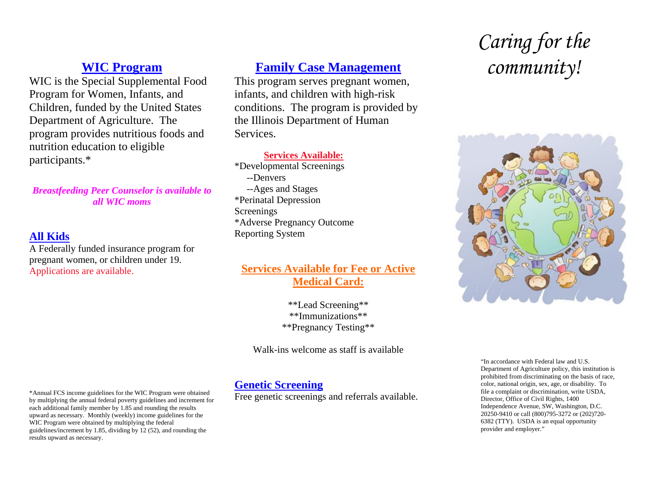### **WIC Program**

WIC is the Special Supplemental Food Program for Women, Infants, and Children, funded by the United States Department of Agriculture. The program provides nutritious foods and nutrition education to eligible participants.\*

*Breastfeeding Peer Counselor is available to all WIC moms* 

#### **All Kids**

A Federally funded insurance program for pregnant women, or children under 19. Applications are available.

## **Family Case Management**

This program serves pregnant women, infants, and children with high-risk conditions. The program is provided by the Illinois Department of Human Services.

#### **Services Available:**

\*Developmental Screenings --Denvers --Ages and Stages \*Perinatal Depression Screenings \*Adverse Pregnancy Outcome Reporting System

#### **Services Available for Fee or Active Medical Card:**

\*\*Lead Screening\*\* \*\*Immunizations\*\* \*\*Pregnancy Testing\*\*

Walk-ins welcome as staff is available

#### **Genetic Screening**

Free genetic screenings and referrals available.

# *Caring for the community!*



\*Annual FCS income guidelines for the WIC Program were obtained by multiplying the annual federal poverty guidelines and increment for each additional family member by 1.85 and rounding the results upward as necessary. Monthly (weekly) income guidelines for the WIC Program were obtained by multiplying the federal guidelines/increment by 1.85, dividing by 12 (52), and rounding the results upward as necessary.

<sup>&</sup>quot;In accordance with Federal law and U.S. Department of Agriculture policy, this institution is prohibited from discriminating on the basis of race, color, national origin, sex, age, or disability. To file a complaint or discrimination, write USDA, Director, Office of Civil Rights, 1400 Independence Avenue, SW, Washington, D.C. 20250-9410 or call (800)795-3272 or (202)720- 6382 (TTY). USDA is an equal opportunity provider and employer."